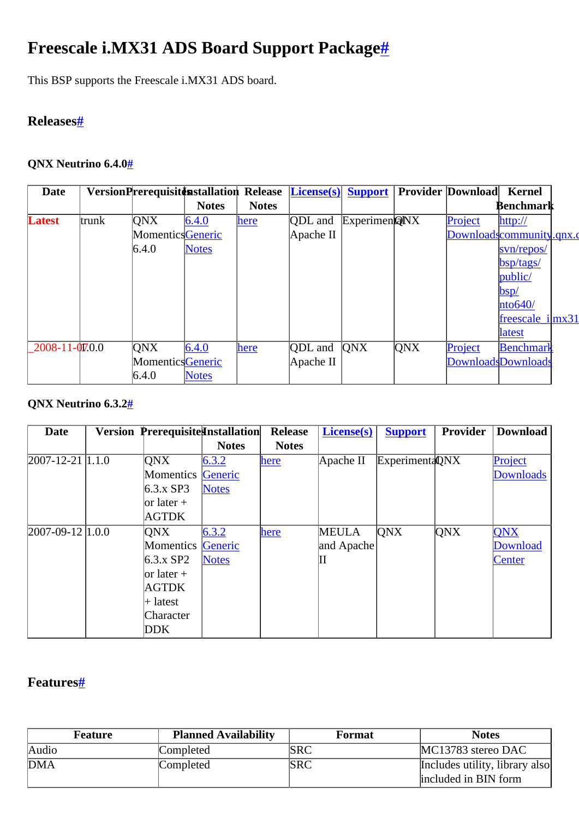# <span id="page-0-0"></span>**Freescale i.MX31 ADS Board Support Packag[e#](#page-0-0)**

This BSP supports the Freescale i.MX31 ADS board.

## <span id="page-0-1"></span>**Release[s#](#page-0-1)**

#### <span id="page-0-2"></span>**QNX Neutrino 6.4.[0#](#page-0-2)**

| Date                |       | VersionPrerequisiton Release License(s) |              |              |           | <b>Support</b> |     | <b>Provider Download</b> | <b>Kernel</b>             |  |
|---------------------|-------|-----------------------------------------|--------------|--------------|-----------|----------------|-----|--------------------------|---------------------------|--|
|                     |       |                                         | <b>Notes</b> | <b>Notes</b> |           |                |     |                          | Benchmark                 |  |
| <b>Latest</b>       | trunk | <b>ONX</b>                              | 6.4.0        | here         | QDL and   | ExperimenQNX   |     | Project                  | http://                   |  |
|                     |       | MomenticsGeneric                        |              |              | Apache II |                |     |                          | Downloadscommunity.qnx.c  |  |
|                     |       | 6.4.0                                   | <b>Notes</b> |              |           |                |     |                          | svn/repos/                |  |
|                     |       |                                         |              |              |           |                |     |                          | bsp/tags/                 |  |
|                     |       |                                         |              |              |           |                |     |                          | public/                   |  |
|                     |       |                                         |              |              |           |                |     |                          | bsp/                      |  |
|                     |       |                                         |              |              |           |                |     |                          | hto640/                   |  |
|                     |       |                                         |              |              |           |                |     |                          | $freescale$ $i   mx31$    |  |
|                     |       |                                         |              |              |           |                |     |                          | <b>latest</b>             |  |
| $2008 - 11 - 070.0$ |       | <b>ONX</b>                              | 6.4.0        | here         | QDL and   | QNX            | QNX | Project                  | Benchmark                 |  |
|                     |       | <b>Momentics</b> Generic                |              |              | Apache II |                |     |                          | <b>DownloadsDownloads</b> |  |
|                     |       | 6.4.0                                   | <b>Notes</b> |              |           |                |     |                          |                           |  |

## <span id="page-0-3"></span>**QNX Neutrino 6.3.[2#](#page-0-3)**

| <b>Date</b>             | Version Prerequisite Installation |              | <b>Release</b> | License(s)   | <b>Support</b>  | <b>Provider</b> | <b>Download</b> |
|-------------------------|-----------------------------------|--------------|----------------|--------------|-----------------|-----------------|-----------------|
|                         |                                   | <b>Notes</b> | <b>Notes</b>   |              |                 |                 |                 |
| $[2007 - 12 - 21]1.1.0$ | ONX                               | 6.3.2        | here           | Apache II    | Experimenta QNX |                 | Project         |
|                         | Momentics                         | Generic      |                |              |                 |                 | Downloads       |
|                         | $6.3.x$ SP3                       | <b>Notes</b> |                |              |                 |                 |                 |
|                         | $\vert$ or later +                |              |                |              |                 |                 |                 |
|                         | AGTDK                             |              |                |              |                 |                 |                 |
| $[2007-09-12]1.0.0$     | ONX                               | 6.3.2        | here           | <b>MEULA</b> | <b>QNX</b>      | QNX             | <b>QNX</b>      |
|                         | Momentics Generic                 |              |                | and Apache   |                 |                 | Download        |
|                         | $6.3.x$ SP2                       | <b>Notes</b> |                | Ш            |                 |                 | Center          |
|                         | $\vert$ or later +                |              |                |              |                 |                 |                 |
|                         | <b>AGTDK</b>                      |              |                |              |                 |                 |                 |
|                         | $+$ latest                        |              |                |              |                 |                 |                 |
|                         | Character                         |              |                |              |                 |                 |                 |
|                         | DDK.                              |              |                |              |                 |                 |                 |

## <span id="page-0-4"></span>**Features[#](#page-0-4)**

| Feature | <b>Planned Availability</b> | <b>Format</b> | <b>Notes</b>                   |
|---------|-----------------------------|---------------|--------------------------------|
| Audio   | Completed                   | SRC           | MC13783 stereo DAC             |
| DMA     | Completed                   | SRC           | Includes utility, library also |
|         |                             |               | included in BIN form           |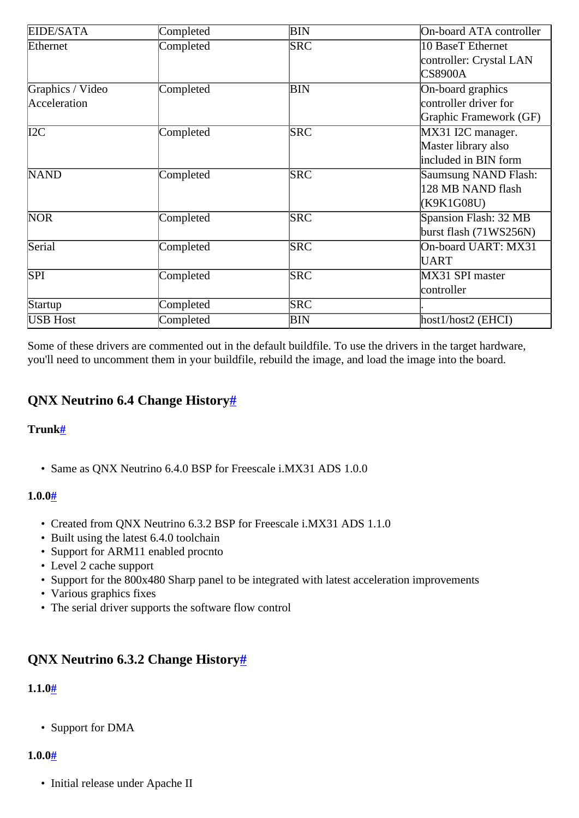| EIDE/SATA        | Completed | BIN        | On-board ATA controller  |  |  |
|------------------|-----------|------------|--------------------------|--|--|
| Ethernet         | Completed | <b>SRC</b> | 10 BaseT Ethernet        |  |  |
|                  |           |            | controller: Crystal LAN  |  |  |
|                  |           |            | <b>CS8900A</b>           |  |  |
| Graphics / Video | Completed | <b>BIN</b> | On-board graphics        |  |  |
| Acceleration     |           |            | controller driver for    |  |  |
|                  |           |            | Graphic Framework (GF)   |  |  |
| I2C              | Completed | <b>SRC</b> | MX31 I2C manager.        |  |  |
|                  |           |            | Master library also      |  |  |
|                  |           |            | included in BIN form     |  |  |
| <b>NAND</b>      | Completed | <b>SRC</b> | Saumsung NAND Flash:     |  |  |
|                  |           |            | 128 MB NAND flash        |  |  |
|                  |           |            | (K9K1G08U)               |  |  |
| <b>NOR</b>       | Completed | <b>SRC</b> | Spansion Flash: 32 MB    |  |  |
|                  |           |            | burst flash $(71WS256N)$ |  |  |
| Serial           | Completed | <b>SRC</b> | On-board UART: MX31      |  |  |
|                  |           |            | UART                     |  |  |
| SPI              | Completed | <b>SRC</b> | MX31 SPI master          |  |  |
|                  |           |            | controller               |  |  |
| Startup          | Completed | <b>SRC</b> |                          |  |  |
| <b>USB Host</b>  | Completed | BIN        | $host1/host2$ (EHCI)     |  |  |

Some of these drivers are commented out in the default buildfile. To use the drivers in the target hardware, you'll need to uncomment them in your buildfile, rebuild the image, and load the image into the board.

## <span id="page-1-0"></span>**QNX Neutrino 6.4 Change Histor[y#](#page-1-0)**

#### <span id="page-1-1"></span>**Trunk[#](#page-1-1)**

• Same as QNX Neutrino 6.4.0 BSP for Freescale i.MX31 ADS 1.0.0

#### <span id="page-1-2"></span>**1.0.[0#](#page-1-2)**

- Created from QNX Neutrino 6.3.2 BSP for Freescale i.MX31 ADS 1.1.0
- Built using the latest 6.4.0 toolchain
- Support for ARM11 enabled procnto
- Level 2 cache support
- Support for the 800x480 Sharp panel to be integrated with latest acceleration improvements
- Various graphics fixes
- The serial driver supports the software flow control

## <span id="page-1-3"></span>**QNX Neutrino 6.3.2 Change History[#](#page-1-3)**

## <span id="page-1-4"></span>**1.1.[0#](#page-1-4)**

• Support for DMA

## <span id="page-1-5"></span>**1.0.[0#](#page-1-5)**

• Initial release under Apache II